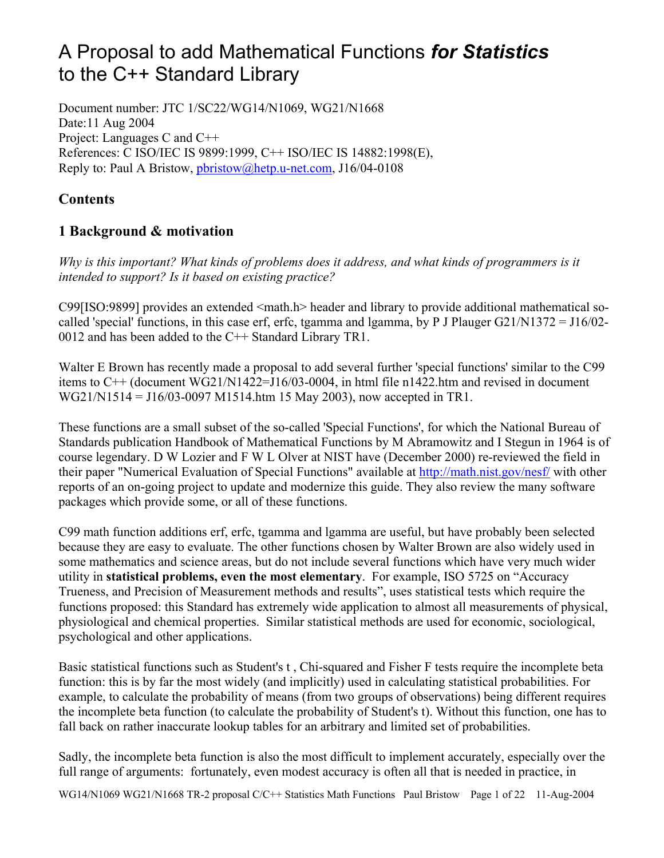# A Proposal to add Mathematical Functions *for Statistics* to the C++ Standard Library

Document number: JTC 1/SC22/WG14/N1069, WG21/N1668 Date:11 Aug 2004 Project: Languages C and C++ References: C ISO/IEC IS 9899:1999, C++ ISO/IEC IS 14882:1998(E), Reply to: Paul A Bristow, pbristow@hetp.u-net.com, J16/04-0108

# **Contents**

# **1 Background & motivation**

*Why is this important? What kinds of problems does it address, and what kinds of programmers is it intended to support? Is it based on existing practice?*

C99[ISO:9899] provides an extended <math.h> header and library to provide additional mathematical socalled 'special' functions, in this case erf, erfc, tgamma and lgamma, by P J Plauger G21/N1372 = J16/02- 0012 and has been added to the C++ Standard Library TR1.

Walter E Brown has recently made a proposal to add several further 'special functions' similar to the C99 items to C++ (document WG21/N1422=J16/03-0004, in html file n1422.htm and revised in document WG21/N1514 = J16/03-0097 M1514.htm 15 May 2003), now accepted in TR1.

These functions are a small subset of the so-called 'Special Functions', for which the National Bureau of Standards publication Handbook of Mathematical Functions by M Abramowitz and I Stegun in 1964 is of course legendary. D W Lozier and F W L Olver at NIST have (December 2000) re-reviewed the field in their paper "Numerical Evaluation of Special Functions" available at http://math.nist.gov/nesf/ with other reports of an on-going project to update and modernize this guide. They also review the many software packages which provide some, or all of these functions.

C99 math function additions erf, erfc, tgamma and lgamma are useful, but have probably been selected because they are easy to evaluate. The other functions chosen by Walter Brown are also widely used in some mathematics and science areas, but do not include several functions which have very much wider utility in **statistical problems, even the most elementary**. For example, ISO 5725 on "Accuracy Trueness, and Precision of Measurement methods and results", uses statistical tests which require the functions proposed: this Standard has extremely wide application to almost all measurements of physical, physiological and chemical properties. Similar statistical methods are used for economic, sociological, psychological and other applications.

Basic statistical functions such as Student's t , Chi-squared and Fisher F tests require the incomplete beta function: this is by far the most widely (and implicitly) used in calculating statistical probabilities. For example, to calculate the probability of means (from two groups of observations) being different requires the incomplete beta function (to calculate the probability of Student's t). Without this function, one has to fall back on rather inaccurate lookup tables for an arbitrary and limited set of probabilities.

Sadly, the incomplete beta function is also the most difficult to implement accurately, especially over the full range of arguments: fortunately, even modest accuracy is often all that is needed in practice, in

WG14/N1069 WG21/N1668 TR-2 proposal C/C++ Statistics Math Functions Paul Bristow Page 1 of 22 11-Aug-2004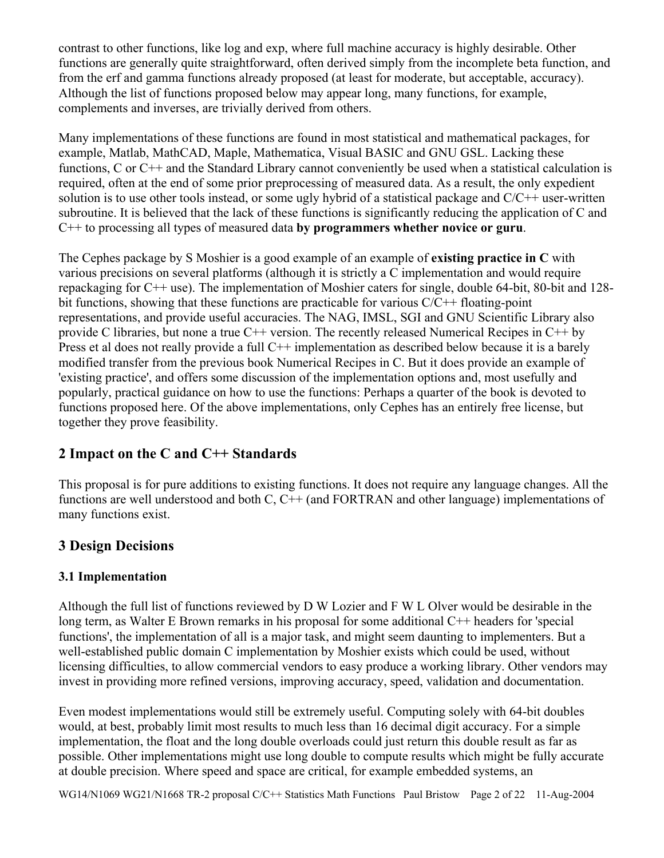contrast to other functions, like log and exp, where full machine accuracy is highly desirable. Other functions are generally quite straightforward, often derived simply from the incomplete beta function, and from the erf and gamma functions already proposed (at least for moderate, but acceptable, accuracy). Although the list of functions proposed below may appear long, many functions, for example, complements and inverses, are trivially derived from others.

Many implementations of these functions are found in most statistical and mathematical packages, for example, Matlab, MathCAD, Maple, Mathematica, Visual BASIC and GNU GSL. Lacking these functions, C or C++ and the Standard Library cannot conveniently be used when a statistical calculation is required, often at the end of some prior preprocessing of measured data. As a result, the only expedient solution is to use other tools instead, or some ugly hybrid of a statistical package and  $C/C+$  user-written subroutine. It is believed that the lack of these functions is significantly reducing the application of C and C++ to processing all types of measured data **by programmers whether novice or guru**.

The Cephes package by S Moshier is a good example of an example of **existing practice in C** with various precisions on several platforms (although it is strictly a C implementation and would require repackaging for C++ use). The implementation of Moshier caters for single, double 64-bit, 80-bit and 128 bit functions, showing that these functions are practicable for various  $C/C++$  floating-point representations, and provide useful accuracies. The NAG, IMSL, SGI and GNU Scientific Library also provide C libraries, but none a true C++ version. The recently released Numerical Recipes in C++ by Press et al does not really provide a full C++ implementation as described below because it is a barely modified transfer from the previous book Numerical Recipes in C. But it does provide an example of 'existing practice', and offers some discussion of the implementation options and, most usefully and popularly, practical guidance on how to use the functions: Perhaps a quarter of the book is devoted to functions proposed here. Of the above implementations, only Cephes has an entirely free license, but together they prove feasibility.

# **2 Impact on the C and C++ Standards**

This proposal is for pure additions to existing functions. It does not require any language changes. All the functions are well understood and both C, C++ (and FORTRAN and other language) implementations of many functions exist.

# **3 Design Decisions**

## **3.1 Implementation**

Although the full list of functions reviewed by D W Lozier and F W L Olver would be desirable in the long term, as Walter E Brown remarks in his proposal for some additional C++ headers for 'special functions', the implementation of all is a major task, and might seem daunting to implementers. But a well-established public domain C implementation by Moshier exists which could be used, without licensing difficulties, to allow commercial vendors to easy produce a working library. Other vendors may invest in providing more refined versions, improving accuracy, speed, validation and documentation.

Even modest implementations would still be extremely useful. Computing solely with 64-bit doubles would, at best, probably limit most results to much less than 16 decimal digit accuracy. For a simple implementation, the float and the long double overloads could just return this double result as far as possible. Other implementations might use long double to compute results which might be fully accurate at double precision. Where speed and space are critical, for example embedded systems, an

WG14/N1069 WG21/N1668 TR-2 proposal C/C++ Statistics Math Functions Paul Bristow Page 2 of 22 11-Aug-2004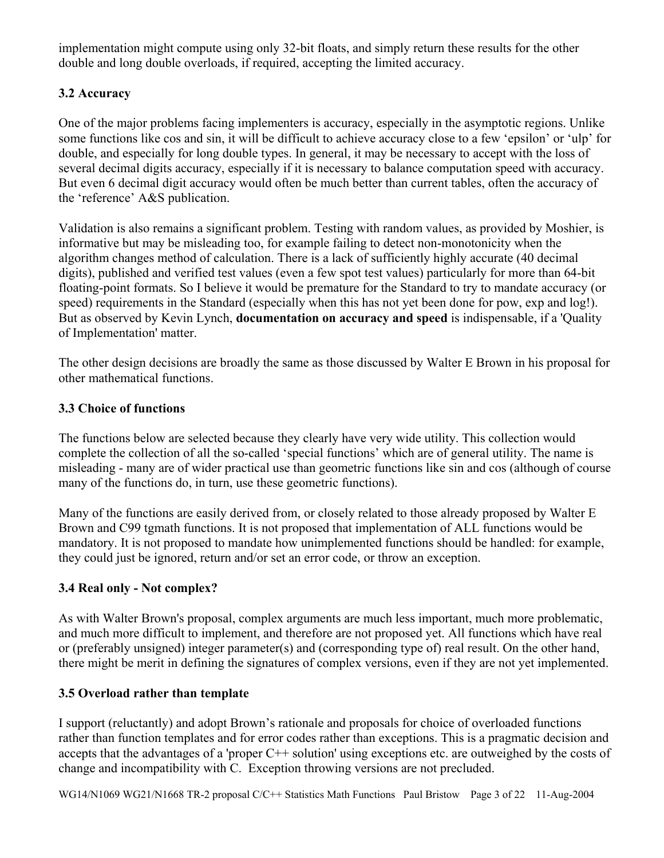implementation might compute using only 32-bit floats, and simply return these results for the other double and long double overloads, if required, accepting the limited accuracy.

# **3.2 Accuracy**

One of the major problems facing implementers is accuracy, especially in the asymptotic regions. Unlike some functions like cos and sin, it will be difficult to achieve accuracy close to a few 'epsilon' or 'ulp' for double, and especially for long double types. In general, it may be necessary to accept with the loss of several decimal digits accuracy, especially if it is necessary to balance computation speed with accuracy. But even 6 decimal digit accuracy would often be much better than current tables, often the accuracy of the 'reference' A&S publication.

Validation is also remains a significant problem. Testing with random values, as provided by Moshier, is informative but may be misleading too, for example failing to detect non-monotonicity when the algorithm changes method of calculation. There is a lack of sufficiently highly accurate (40 decimal digits), published and verified test values (even a few spot test values) particularly for more than 64-bit floating-point formats. So I believe it would be premature for the Standard to try to mandate accuracy (or speed) requirements in the Standard (especially when this has not yet been done for pow, exp and log!). But as observed by Kevin Lynch, **documentation on accuracy and speed** is indispensable, if a 'Quality of Implementation' matter.

The other design decisions are broadly the same as those discussed by Walter E Brown in his proposal for other mathematical functions.

## **3.3 Choice of functions**

The functions below are selected because they clearly have very wide utility. This collection would complete the collection of all the so-called 'special functions' which are of general utility. The name is misleading - many are of wider practical use than geometric functions like sin and cos (although of course many of the functions do, in turn, use these geometric functions).

Many of the functions are easily derived from, or closely related to those already proposed by Walter E Brown and C99 tgmath functions. It is not proposed that implementation of ALL functions would be mandatory. It is not proposed to mandate how unimplemented functions should be handled: for example, they could just be ignored, return and/or set an error code, or throw an exception.

## **3.4 Real only - Not complex?**

As with Walter Brown's proposal, complex arguments are much less important, much more problematic, and much more difficult to implement, and therefore are not proposed yet. All functions which have real or (preferably unsigned) integer parameter(s) and (corresponding type of) real result. On the other hand, there might be merit in defining the signatures of complex versions, even if they are not yet implemented.

## **3.5 Overload rather than template**

I support (reluctantly) and adopt Brown's rationale and proposals for choice of overloaded functions rather than function templates and for error codes rather than exceptions. This is a pragmatic decision and accepts that the advantages of a 'proper C++ solution' using exceptions etc. are outweighed by the costs of change and incompatibility with C. Exception throwing versions are not precluded.

WG14/N1069 WG21/N1668 TR-2 proposal C/C++ Statistics Math Functions Paul Bristow Page 3 of 22 11-Aug-2004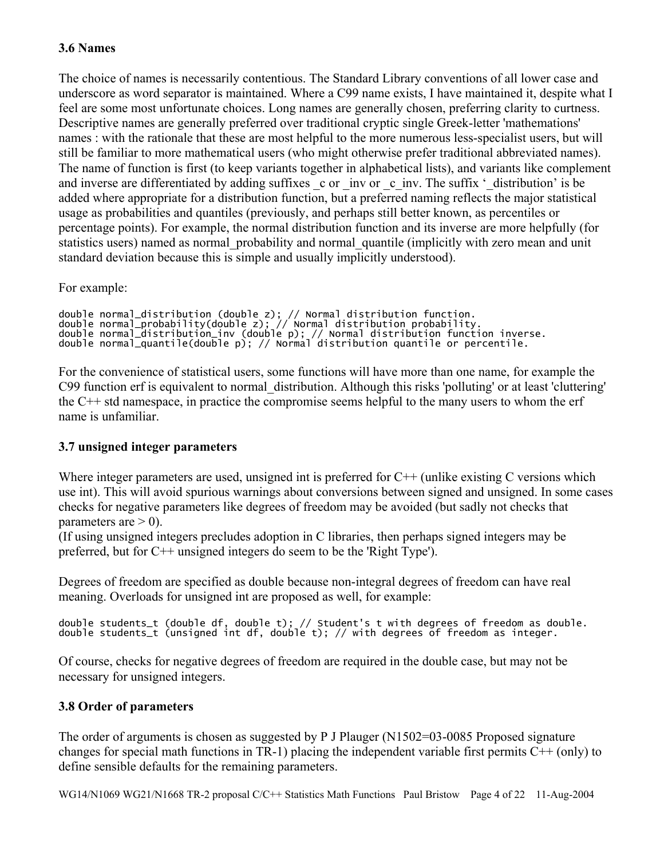## **3.6 Names**

The choice of names is necessarily contentious. The Standard Library conventions of all lower case and underscore as word separator is maintained. Where a C99 name exists, I have maintained it, despite what I feel are some most unfortunate choices. Long names are generally chosen, preferring clarity to curtness. Descriptive names are generally preferred over traditional cryptic single Greek-letter 'mathemations' names : with the rationale that these are most helpful to the more numerous less-specialist users, but will still be familiar to more mathematical users (who might otherwise prefer traditional abbreviated names). The name of function is first (to keep variants together in alphabetical lists), and variants like complement and inverse are differentiated by adding suffixes c or \_inv or \_c\_inv. The suffix '\_distribution' is be added where appropriate for a distribution function, but a preferred naming reflects the major statistical usage as probabilities and quantiles (previously, and perhaps still better known, as percentiles or percentage points). For example, the normal distribution function and its inverse are more helpfully (for statistics users) named as normal\_probability and normal\_quantile (implicitly with zero mean and unit standard deviation because this is simple and usually implicitly understood).

For example:

```
double normal_distribution (double z); // Normal distribution function. 
double normal_probability(double z); // Normal distribution probability. 
double normal_distribution_inv (double p); // Normal distribution function inverse. 
double normal_quantile(double p); // Normal distribution quantile or percentile.
```
For the convenience of statistical users, some functions will have more than one name, for example the C99 function erf is equivalent to normal\_distribution. Although this risks 'polluting' or at least 'cluttering' the C++ std namespace, in practice the compromise seems helpful to the many users to whom the erf name is unfamiliar.

## **3.7 unsigned integer parameters**

Where integer parameters are used, unsigned int is preferred for C++ (unlike existing C versions which use int). This will avoid spurious warnings about conversions between signed and unsigned. In some cases checks for negative parameters like degrees of freedom may be avoided (but sadly not checks that parameters are  $>$  0).

(If using unsigned integers precludes adoption in C libraries, then perhaps signed integers may be preferred, but for C++ unsigned integers do seem to be the 'Right Type').

Degrees of freedom are specified as double because non-integral degrees of freedom can have real meaning. Overloads for unsigned int are proposed as well, for example:

double students\_t (double df, double t); // Student's t with degrees of freedom as double. double students\_t (unsigned int df, double t); // with degrees of freedom as integer.

Of course, checks for negative degrees of freedom are required in the double case, but may not be necessary for unsigned integers.

## **3.8 Order of parameters**

The order of arguments is chosen as suggested by P J Plauger (N1502=03-0085 Proposed signature changes for special math functions in TR-1) placing the independent variable first permits C++ (only) to define sensible defaults for the remaining parameters.

WG14/N1069 WG21/N1668 TR-2 proposal C/C++ Statistics Math Functions Paul Bristow Page 4 of 22 11-Aug-2004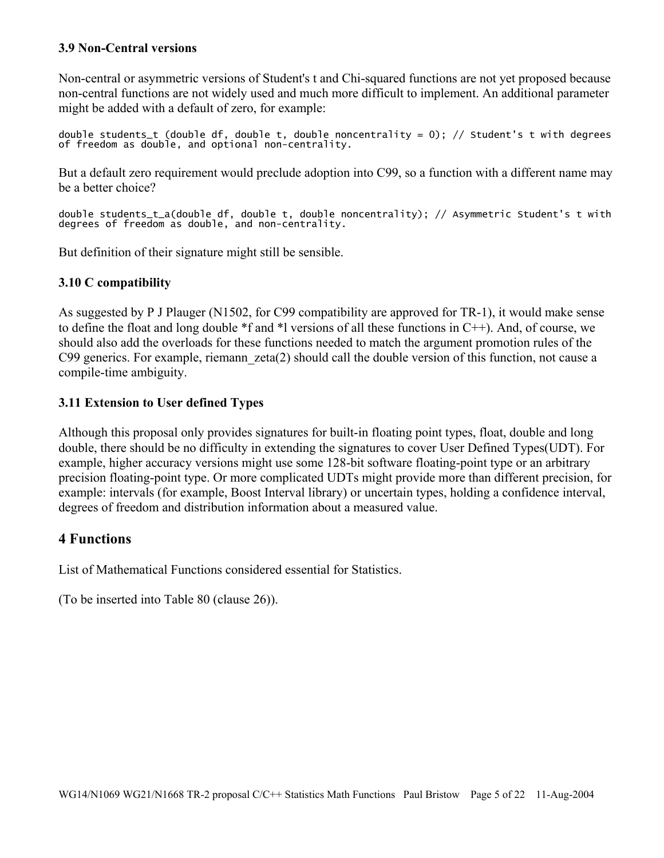## **3.9 Non-Central versions**

Non-central or asymmetric versions of Student's t and Chi-squared functions are not yet proposed because non-central functions are not widely used and much more difficult to implement. An additional parameter might be added with a default of zero, for example:

double students\_t (double df, double t, double noncentrality = 0); // Student's t with degrees of freedom as double, and optional non-centrality.

But a default zero requirement would preclude adoption into C99, so a function with a different name may be a better choice?

double students\_t\_a(double df, double t, double noncentrality); // Asymmetric Student's t with degrees of freedom as double, and non-centrality.

But definition of their signature might still be sensible.

## **3.10 C compatibility**

As suggested by P J Plauger (N1502, for C99 compatibility are approved for TR-1), it would make sense to define the float and long double \*f and \*l versions of all these functions in C++). And, of course, we should also add the overloads for these functions needed to match the argument promotion rules of the C99 generics. For example, riemann zeta(2) should call the double version of this function, not cause a compile-time ambiguity.

## **3.11 Extension to User defined Types**

Although this proposal only provides signatures for built-in floating point types, float, double and long double, there should be no difficulty in extending the signatures to cover User Defined Types(UDT). For example, higher accuracy versions might use some 128-bit software floating-point type or an arbitrary precision floating-point type. Or more complicated UDTs might provide more than different precision, for example: intervals (for example, Boost Interval library) or uncertain types, holding a confidence interval, degrees of freedom and distribution information about a measured value.

## **4 Functions**

List of Mathematical Functions considered essential for Statistics.

(To be inserted into Table 80 (clause 26)).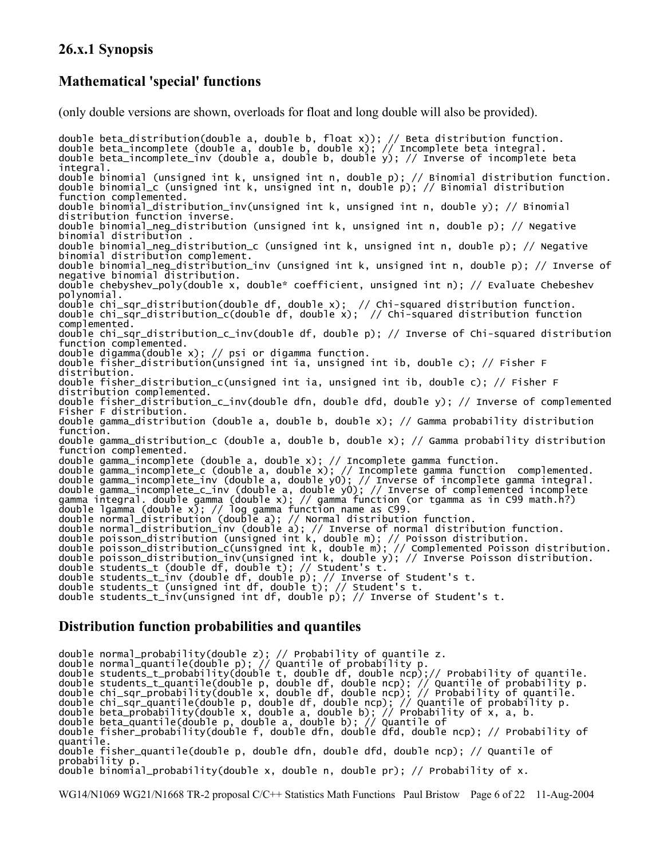# **26.x.1 Synopsis**

# **Mathematical 'special' functions**

(only double versions are shown, overloads for float and long double will also be provided).

double beta\_distribution(double a, double b, float x)); // Beta distribution function. double beta\_incomplete (double a, double b, double x); // Incomplete beta integral. double beta\_incomplete\_inv (double a, double b, double y); // Inverse of incomplete beta integral. double binomial (unsigned int k, unsigned int n, double p); // Binomial distribution function. double binomial\_c (unsigned int k, unsigned int n, double p); // Binomial distribution function complemented. double binomial\_distribution\_inv(unsigned int k, unsigned int n, double y); // Binomial distribution function inverse. double binomial\_neg\_distribution (unsigned int k, unsigned int n, double p); // Negative binomial distribution . double binomial\_neg\_distribution\_c (unsigned int k, unsigned int n, double p); // Negative binomial distribution complement. double binomial\_neg\_distribution\_inv (unsigned int k, unsigned int n, double p); // Inverse of negative binomial distribution. double chebyshev\_poly(double x, double\* coefficient, unsigned int n); // Evaluate Chebeshev polynomial. double chi\_sqr\_distribution(double df, double x); // Chi-squared distribution function. double  $chi$ <sup>-</sup>sqr<sup>-</sup>distribution<sup>-</sup>c(double df, double x); // Chi-squared distribution function complemented. double chi\_sqr\_distribution\_c\_inv(double df, double p); // Inverse of Chi-squared distribution function complemented. double digamma(double x); // psi or digamma function. double fisher\_distribution(unsigned int ia, unsigned int ib, double c); // Fisher F distribution. double fisher\_distribution\_c(unsigned int ia, unsigned int ib, double c); // Fisher F distribution complemented. double fisher\_distribution\_c\_inv(double dfn, double dfd, double y); // Inverse of complemented Fisher F distribution. double gamma\_distribution (double a, double b, double x); // Gamma probability distribution function. double gamma\_distribution\_c (double a, double b, double x); // Gamma probability distribution function complemented. double gamma\_incomplete (double a, double x); // Incomplete gamma function. double gamma\_incomplete\_c (double a, double x); // Incomplete gamma function complemented. double gamma\_incomplete\_inv (double a, double y0); // Inverse of incomplete gamma integral. double gamma\_incomplete\_c\_inv (double a, double y0); // Inverse of complemented incomplete gamma integral. double gamma (double x); // gamma function (or tgamma as in C99 math.h?) double lgamma (double x); // log gamma function name as C99. double normal\_distribution (double a); // Normal distribution function. double normal\_distribution\_inv (double a); // Inverse of normal distribution function. double poisson\_distribution (unsigned int k, double m); // Poisson distribution. double poisson\_distribution\_c(unsigned int k, double m); // Complemented Poisson distribution. double poisson\_distribution\_inv(unsigned int k, double y); // Inverse Poisson distribution. double students\_t (double df, double t); // Student's t. double students\_t\_inv (double df, double p); // Inverse of Student's t. double students\_t (unsigned int df, double t); // Student's t. double students\_t\_inv(unsigned int df, double p); // Inverse of Student's t.

## **Distribution function probabilities and quantiles**

double normal\_probability(double z); // Probability of quantile z.

double normal\_quantile(double p); // Quantile of probability p.

double students\_t\_probability(double t, double df, double ncp);// Probability of quantile.

double students\_t\_quantile(double p, double df, double ncp); // Quantile of probability p.

double chi\_sqr\_probability(double x, double df, double ncp); // Probability of quantile.

- double chi\_sqr\_quantile(double p, double df, double ncp); // Quantile of probability p.
- double beta\_probability(double x, double a, double b); // Probability of x, a, b.
- double beta\_quantile(double p, double a, double b); // Quantile of
- double fisher\_probability(double f, double dfn, double dfd, double ncp); // Probability of quantile.

double fisher\_quantile(double p, double dfn, double dfd, double ncp); // Quantile of probability p.

double binomial\_probability(double x, double n, double pr); // Probability of x.

WG14/N1069 WG21/N1668 TR-2 proposal C/C++ Statistics Math Functions Paul Bristow Page 6 of 22 11-Aug-2004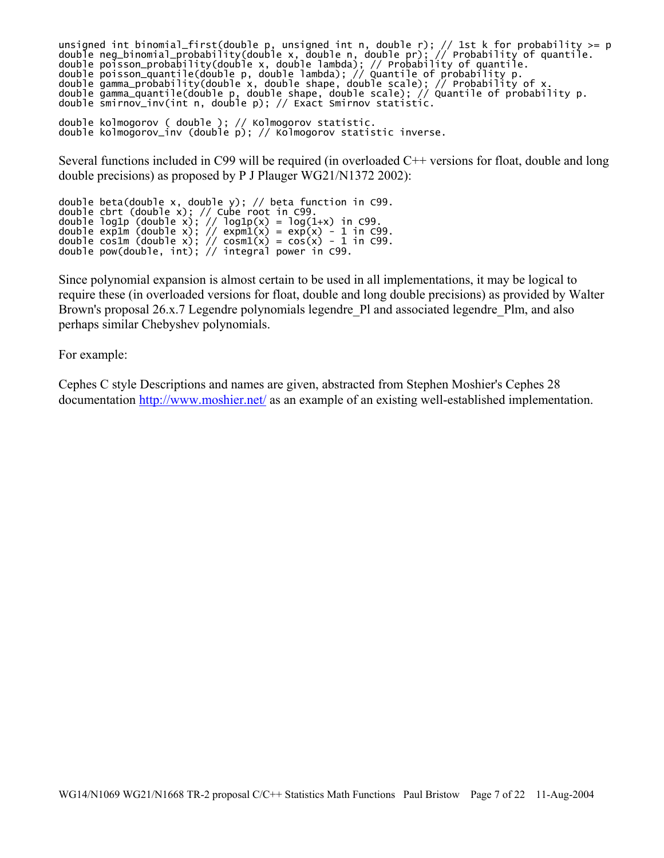```
unsigned int binomial_first(double p, unsigned int n, double r); // 1st k for probability >= p 
double neg_binomial_probability(double x, double n, double pr); // Probability of quantile. 
double poisson_probability(double x, double lambda); // Probability of quantile. 
double poisson_quantile(double p, double lambda); // Quantile of probability p. 
double gamma_probability(double x, double shape, double scale); // Probability of x. 
double gamma_quantile(double p, double shape, double scale); // Quantile of probability p. 
double smirnov_inv(int n, double p); // Exact Smirnov statistic.
```

```
double kolmogorov ( double ); // Kolmogorov statistic. 
double kolmogorov_inv (double p); // Kolmogorov statistic inverse.
```
Several functions included in C99 will be required (in overloaded C++ versions for float, double and long double precisions) as proposed by P J Plauger WG21/N1372 2002):

```
double beta(double x, double y); // beta function in C99. 
double cbrt (double x); // Cube root in C99. 
double log1p (double x); // log1p(x) = log(1+x) in C99. 
double exp1m (double x); // \exp(1(x)) = \exp(x) - 1 in C99.
double cos1m (double x); // cosm1(x) = cos(x) - 1 in C99.
double pow(double, int); // integral power in C99.
```
Since polynomial expansion is almost certain to be used in all implementations, it may be logical to require these (in overloaded versions for float, double and long double precisions) as provided by Walter Brown's proposal 26.x.7 Legendre polynomials legendre Pl and associated legendre Plm, and also perhaps similar Chebyshev polynomials.

For example:

Cephes C style Descriptions and names are given, abstracted from Stephen Moshier's Cephes 28 documentation http://www.moshier.net/ as an example of an existing well-established implementation.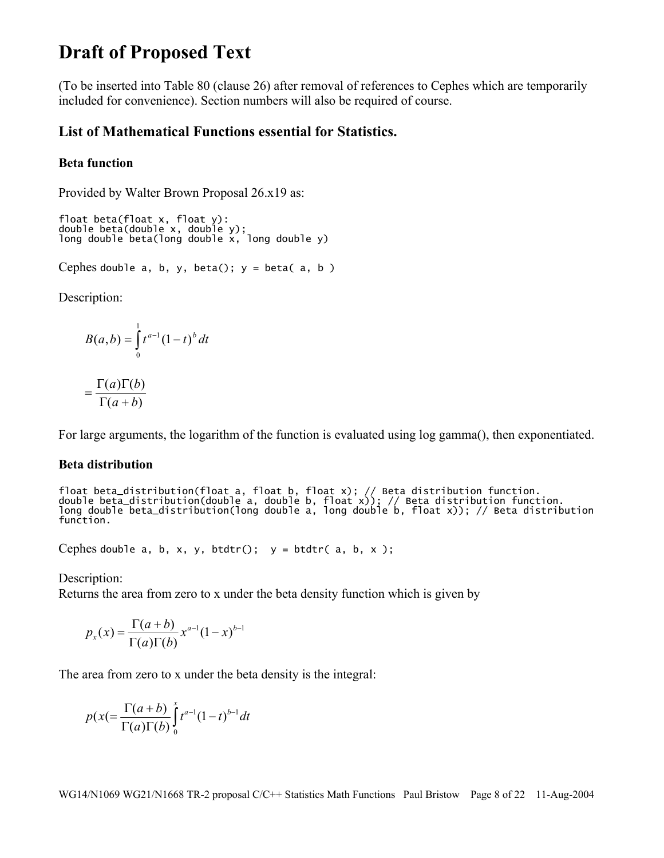# **Draft of Proposed Text**

(To be inserted into Table 80 (clause 26) after removal of references to Cephes which are temporarily included for convenience). Section numbers will also be required of course.

## **List of Mathematical Functions essential for Statistics.**

#### **Beta function**

Provided by Walter Brown Proposal 26.x19 as:

```
float beta(float x, float y): 
double beta(double x, double y); 
long double beta(long double x, long double y)
```
Cephes double  $a, b, y, beta()$ ;  $y = beta(a, b)$ 

Description:

$$
B(a,b) = \int_{0}^{1} t^{a-1} (1-t)^{b} dt
$$

$$
=\frac{\Gamma(a)\Gamma(b)}{\Gamma(a+b)}
$$

For large arguments, the logarithm of the function is evaluated using log gamma(), then exponentiated.

#### **Beta distribution**

```
float beta_distribution(float a, float b, float x); // Beta distribution function. 
double beta_distribution(double a, double b, float x)); // Beta distribution function. 
long double beta_distribution(long double a, long double b, float x)); // Beta distribution 
function.
```
Cephes double a, b, x, y, btdtr();  $y = btdtr(a, b, x)$ ;

Description:

Returns the area from zero to x under the beta density function which is given by

$$
p_x(x) = \frac{\Gamma(a+b)}{\Gamma(a)\Gamma(b)} x^{a-1} (1-x)^{b-1}
$$

The area from zero to x under the beta density is the integral:

$$
p(x) = \frac{\Gamma(a+b)}{\Gamma(a)\Gamma(b)} \int_0^x t^{a-1} (1-t)^{b-1} dt
$$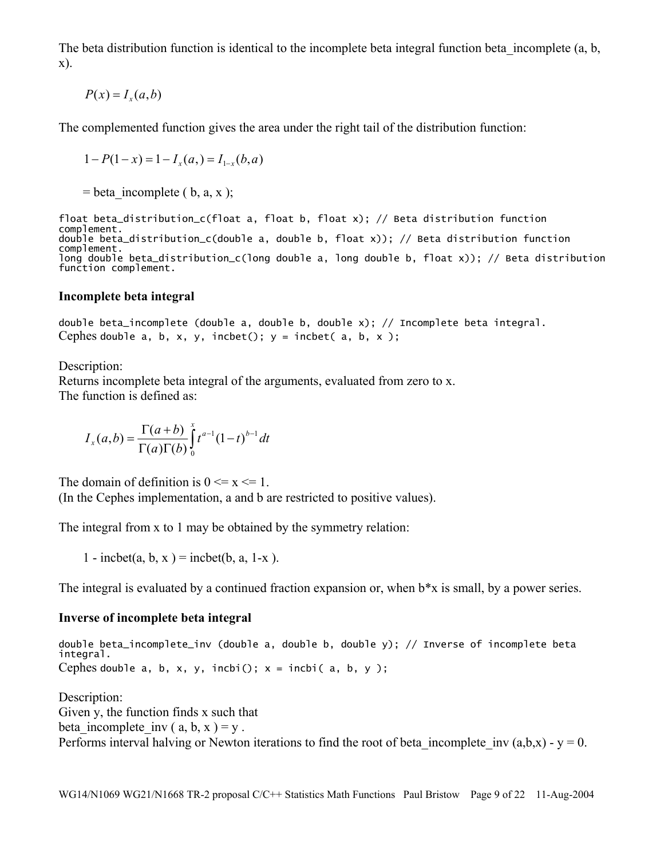The beta distribution function is identical to the incomplete beta integral function beta incomplete (a, b, x).

 $P(x) = I_x(a, b)$ 

The complemented function gives the area under the right tail of the distribution function:

$$
1 - P(1 - x) = 1 - I_x(a) = I_{1-x}(b, a)
$$

 $=$  beta incomplete ( b, a, x );

```
float beta_distribution_c(float a, float b, float x); // Beta distribution function 
complement. 
double beta_distribution_c(double a, double b, float x)); // Beta distribution function 
complement. 
long double beta_distribution_c(long double a, long double b, float x)); // Beta distribution 
function complement.
```
#### **Incomplete beta integral**

double beta\_incomplete (double a, double b, double x); // Incomplete beta integral. Cephes double a, b, x, y, incbet();  $y =$  incbet( a, b, x);

Description:

Returns incomplete beta integral of the arguments, evaluated from zero to x. The function is defined as:

$$
I_x(a,b) = \frac{\Gamma(a+b)}{\Gamma(a)\Gamma(b)} \int_0^x t^{a-1} (1-t)^{b-1} dt
$$

The domain of definition is  $0 \le x \le 1$ .

(In the Cephes implementation, a and b are restricted to positive values).

The integral from x to 1 may be obtained by the symmetry relation:

1 - incbet(a, b, x) = incbet(b, a, 1-x).

The integral is evaluated by a continued fraction expansion or, when b\*x is small, by a power series.

#### **Inverse of incomplete beta integral**

double beta\_incomplete\_inv (double a, double b, double y); // Inverse of incomplete beta integral. Cephes double  $a, b, x, y,$  incbi();  $x =$  incbi( $a, b, y$ );

Description: Given y, the function finds x such that beta incomplete inv (a, b, x ) = y. Performs interval halving or Newton iterations to find the root of beta incomplete inv  $(a,b,x) - y = 0$ .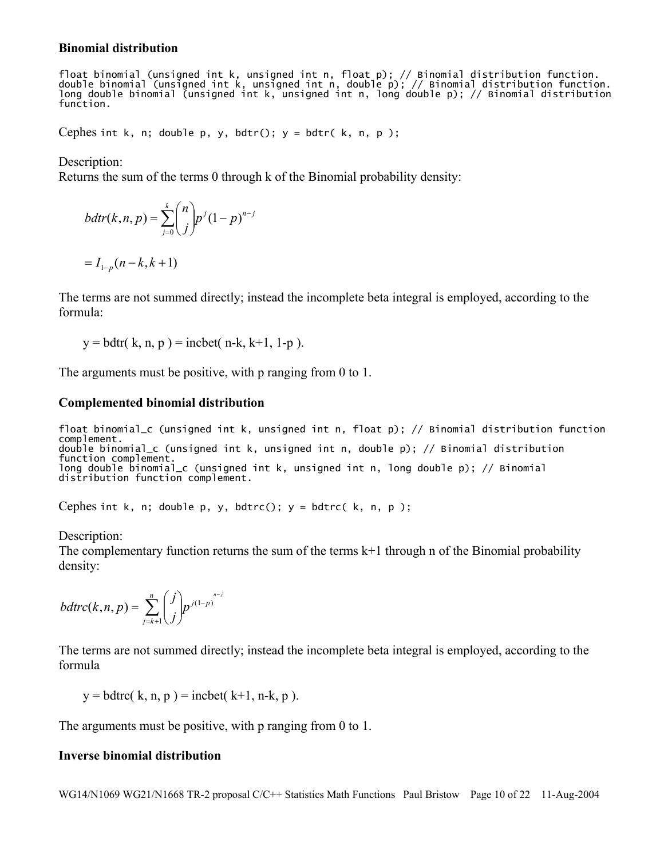#### **Binomial distribution**

float binomial (unsigned int k, unsigned int n, float p); // Binomial distribution function. double binomial (unsigned int k, unsigned int n, double p); // Binomial distribution function. long double binomial (unsigned int k, unsigned int n, long double p); // Binomial distribution function.

Cephes int k, n; double p, y, bdtr();  $y = b$ dtr( k, n, p);

Description:

Returns the sum of the terms 0 through k of the Binomial probability density:

$$
bdtr(k, n, p) = \sum_{j=0}^{k} {n \choose j} p^{j} (1-p)^{n-j}
$$
  
=  $I_{1-p}(n-k, k+1)$ 

The terms are not summed directly; instead the incomplete beta integral is employed, according to the formula:

 $y = bdt$  (k, n, p) = incbet(n-k, k+1, 1-p).

The arguments must be positive, with p ranging from 0 to 1.

#### **Complemented binomial distribution**

```
float binomial_c (unsigned int k, unsigned int n, float p); // Binomial distribution function 
complement. 
double binomial_c (unsigned int k, unsigned int n, double p); // Binomial distribution 
function complement. 
long double binomial_c (unsigned int k, unsigned int n, long double p); // Binomial 
distribution function complement.
```
Cephes int k, n; double p, y, bdtrc();  $y = bdt$ rc(k, n, p);

Description:

The complementary function returns the sum of the terms  $k+1$  through n of the Binomial probability density:

$$
bdtrc(k, n, p) = \sum_{j=k+1}^{n} {j \choose j} p^{j(1-p)^{n-j}}
$$

The terms are not summed directly; instead the incomplete beta integral is employed, according to the formula

 $y = bdt$ rc( k, n, p ) = incbet( k+1, n-k, p ).

The arguments must be positive, with p ranging from 0 to 1.

#### **Inverse binomial distribution**

WG14/N1069 WG21/N1668 TR-2 proposal C/C++ Statistics Math Functions Paul Bristow Page 10 of 22 11-Aug-2004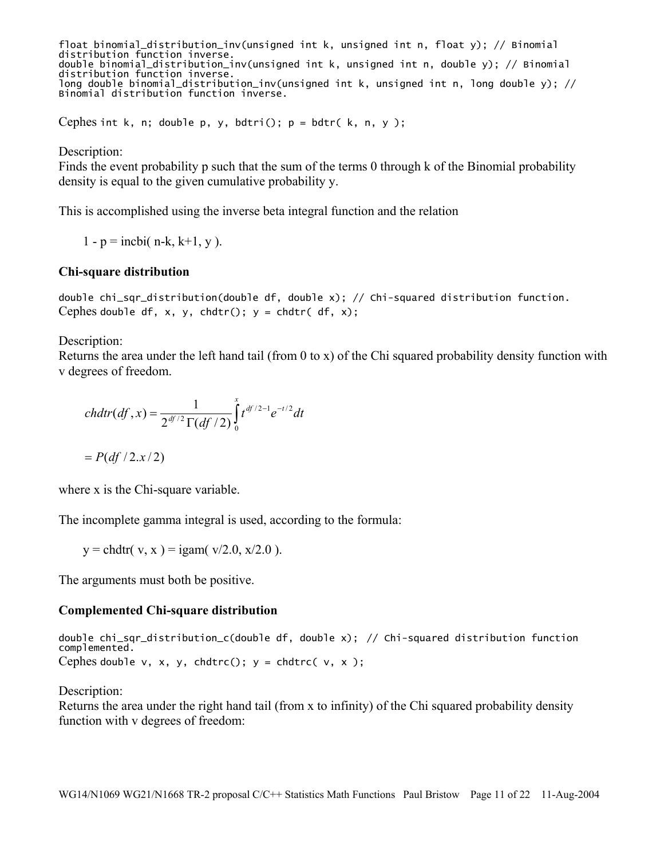float binomial\_distribution\_inv(unsigned int k, unsigned int n, float y); // Binomial distribution function inverse. double binomial\_distribution\_inv(unsigned int k, unsigned int n, double y); // Binomial distribution function inverse. long double binomial\_distribution\_inv(unsigned int k, unsigned int n, long double y); // Binomial distribution function inverse.

Cephes int k, n; double p, y, bdtri();  $p = b$ dtr( k, n, y );

Description:

Finds the event probability p such that the sum of the terms 0 through k of the Binomial probability density is equal to the given cumulative probability y.

This is accomplished using the inverse beta integral function and the relation

1 - p = incbi( n-k, k+1, y).

#### **Chi-square distribution**

double chi\_sqr\_distribution(double df, double x); // Chi-squared distribution function. Cephes double df, x, y, chdtr();  $y = chdr( df, x);$ 

Description:

Returns the area under the left hand tail (from 0 to x) of the Chi squared probability density function with v degrees of freedom.

$$
chdtr(df,x) = \frac{1}{2^{df/2}\Gamma(df/2)}\int_{0}^{x} t^{df/2-1}e^{-t/2}dt
$$

 $= P(df/2.x/2)$ 

where x is the Chi-square variable.

The incomplete gamma integral is used, according to the formula:

 $y = chdt(r, x) = igam(r/2.0, x/2.0)$ .

The arguments must both be positive.

#### **Complemented Chi-square distribution**

double chi\_sqr\_distribution\_c(double df, double x); // Chi-squared distribution function complemented. Cephes double v, x, y, chdtrc();  $y =$  chdtrc( v, x);

Description:

Returns the area under the right hand tail (from x to infinity) of the Chi squared probability density function with v degrees of freedom: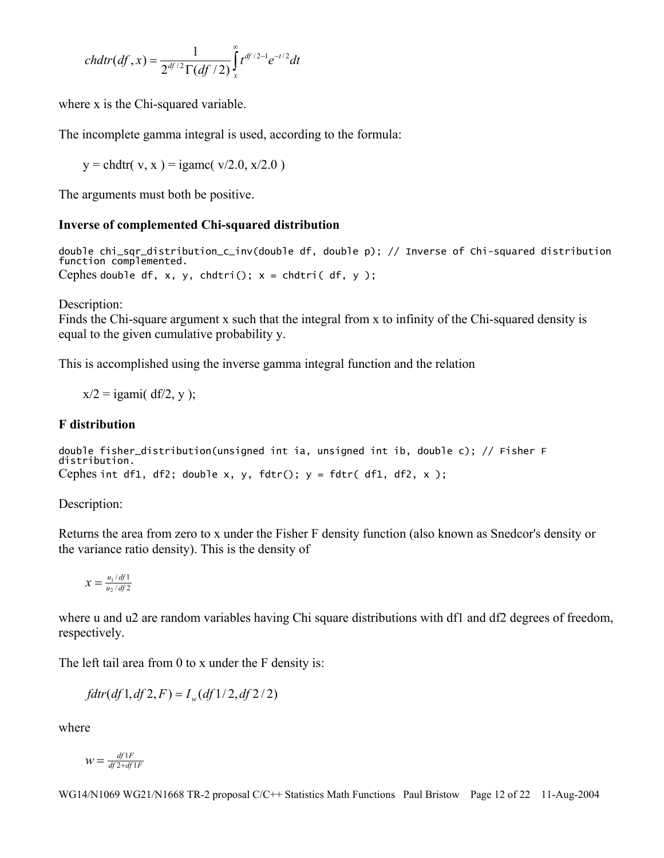$$
chdtr(df,x) = \frac{1}{2^{df/2}\Gamma(df/2)}\int_{x}^{\infty} t^{df/2-1}e^{-t/2}dt
$$

where x is the Chi-squared variable.

The incomplete gamma integral is used, according to the formula:

 $y = chdtr(v, x) = igame(v/2.0, x/2.0)$ 

The arguments must both be positive.

## **Inverse of complemented Chi-squared distribution**

double chi\_sqr\_distribution\_c\_inv(double df, double p); // Inverse of Chi-squared distribution function complemented. Cephes double df, x, y, chdtri();  $x = chdtri(df, y)$ ;

Description:

Finds the Chi-square argument x such that the integral from x to infinity of the Chi-squared density is equal to the given cumulative probability y.

This is accomplished using the inverse gamma integral function and the relation

 $x/2 = i$ gami( df/2, y );

## **F distribution**

```
double fisher_distribution(unsigned int ia, unsigned int ib, double c); // Fisher F 
distribution. 
Cephes int df1, df2; double x, y, fdtr(); y = fdr (df1, df2, x);
```
Description:

Returns the area from zero to x under the Fisher F density function (also known as Snedcor's density or the variance ratio density). This is the density of

$$
x = \frac{u_1}{u_2/df^2}
$$

where u and u2 are random variables having Chi square distributions with df1 and df2 degrees of freedom, respectively.

The left tail area from 0 to x under the F density is:

$$
fdtr(df1,df2,F) = I_w(df1/2,df2/2)
$$

where

$$
W = \frac{df1F}{df2 + df1F}
$$

WG14/N1069 WG21/N1668 TR-2 proposal C/C++ Statistics Math Functions Paul Bristow Page 12 of 22 11-Aug-2004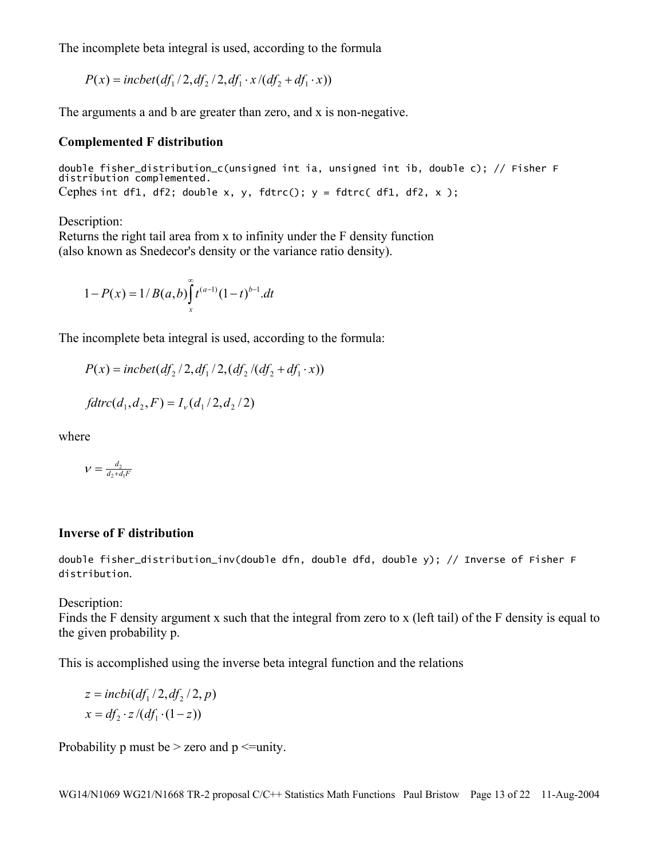The incomplete beta integral is used, according to the formula

 $P(x) = incbet(df_1/2, df_2/2, df_1 \cdot x/(df_2 + df_1 \cdot x))$ 

The arguments a and b are greater than zero, and x is non-negative.

#### **Complemented F distribution**

double fisher\_distribution\_c(unsigned int ia, unsigned int ib, double c); // Fisher F distribution complemented. Cephes int df1, df2; double x, y, fdtrc();  $y = fdrcc(df1, df2, x)$ ;

Description:

Returns the right tail area from x to infinity under the F density function (also known as Snedecor's density or the variance ratio density).

$$
1 - P(x) = 1/B(a,b) \int_{x}^{\infty} t^{(a-1)} (1-t)^{b-1} dt
$$

The incomplete beta integral is used, according to the formula:

 $P(x) = incbet(df_2 / 2, df_1 / 2, (df_2 / (df_2 + df_1 \cdot x))$ 

$$
fdtrc(d_1, d_2, F) = I_v(d_1/2, d_2/2)
$$

where

$$
\nu = \frac{d_2}{d_2 + d_1 F}
$$

#### **Inverse of F distribution**

double fisher\_distribution\_inv(double dfn, double dfd, double y); // Inverse of Fisher F distribution.

Description:

Finds the F density argument x such that the integral from zero to x (left tail) of the F density is equal to the given probability p.

This is accomplished using the inverse beta integral function and the relations

$$
z = incbi(df1/2, df2/2, p)
$$

$$
x = df2 \cdot z/(df1 \cdot (1-z))
$$

Probability p must be  $>$  zero and p  $\le$ =unity.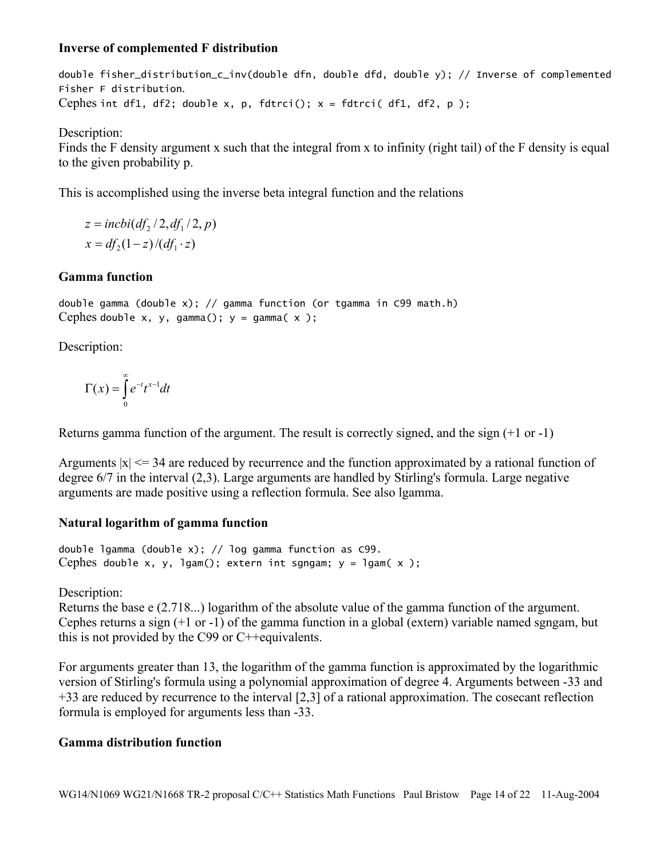## **Inverse of complemented F distribution**

double fisher\_distribution\_c\_inv(double dfn, double dfd, double y); // Inverse of complemented Fisher F distribution. Cephes int df1, df2; double x, p, fdtrci();  $x = fdrrci(df1, df2, p)$ ;

Description:

Finds the F density argument x such that the integral from x to infinity (right tail) of the F density is equal to the given probability p.

This is accomplished using the inverse beta integral function and the relations

 $x = df_2(1-z)/(df_1 \cdot z)$  $z = incbi(df_2 / 2, df_1 / 2, p)$ 

## **Gamma function**

double gamma (double x); // gamma function (or tgamma in C99 math.h) Cephes double x, y, gamma();  $y =$  gamma( $x$ );

Description:

$$
\Gamma(x) = \int_{0}^{\infty} e^{-t} t^{x-1} dt
$$

Returns gamma function of the argument. The result is correctly signed, and the sign (+1 or -1)

Arguments  $|x| \le 34$  are reduced by recurrence and the function approximated by a rational function of degree 6/7 in the interval (2,3). Large arguments are handled by Stirling's formula. Large negative arguments are made positive using a reflection formula. See also lgamma.

## **Natural logarithm of gamma function**

double lgamma (double x); // log gamma function as C99. Cephes double x, y, lgam(); extern int sgngam;  $y =$  lgam( $x$ );

Description:

Returns the base e (2.718...) logarithm of the absolute value of the gamma function of the argument. Cephes returns a sign (+1 or -1) of the gamma function in a global (extern) variable named sgngam, but this is not provided by the C99 or C++equivalents.

For arguments greater than 13, the logarithm of the gamma function is approximated by the logarithmic version of Stirling's formula using a polynomial approximation of degree 4. Arguments between -33 and +33 are reduced by recurrence to the interval [2,3] of a rational approximation. The cosecant reflection formula is employed for arguments less than -33.

## **Gamma distribution function**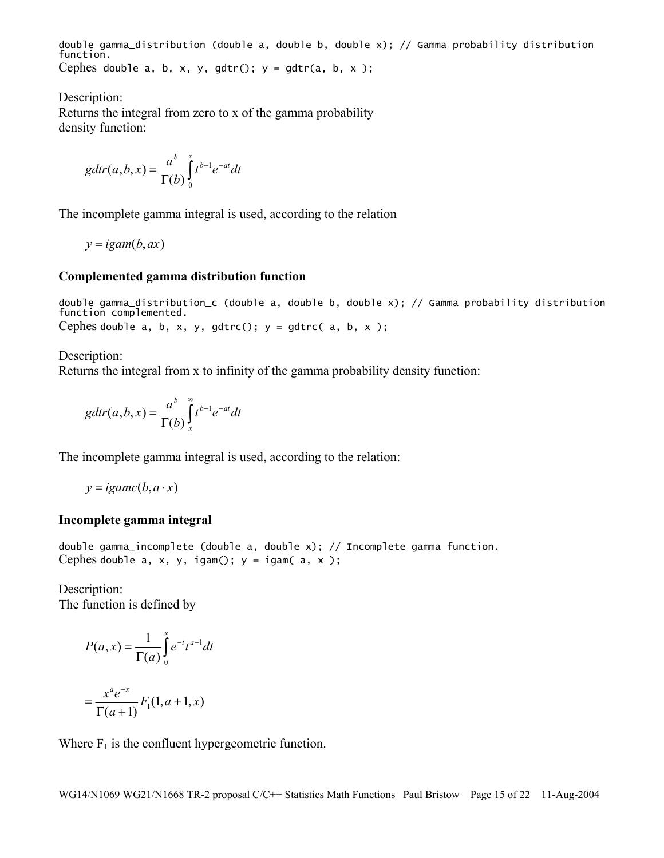double gamma\_distribution (double a, double b, double x); // Gamma probability distribution function. Cephes double a, b, x, y, gdtr();  $y = gdr(a, b, x)$ ;

Description:

Returns the integral from zero to x of the gamma probability density function:

$$
gdtr(a,b,x) = \frac{a^b}{\Gamma(b)}\int_0^x t^{b-1}e^{-at}dt
$$

The incomplete gamma integral is used, according to the relation

$$
y = i \text{gam}(b, ax)
$$

#### **Complemented gamma distribution function**

double gamma\_distribution\_c (double a, double b, double x); // Gamma probability distribution function complemented. Cephes double a, b, x, y, gdtrc();  $y = g$ dtrc( a, b, x);

Description:

Returns the integral from x to infinity of the gamma probability density function:

$$
gdtr(a,b,x) = \frac{a^b}{\Gamma(b)}\int_x^{\infty} t^{b-1}e^{-at}dt
$$

The incomplete gamma integral is used, according to the relation:

 $y = ig$ *amc*(*b*, $a \cdot x$ )

#### **Incomplete gamma integral**

double gamma\_incomplete (double a, double x); // Incomplete gamma function. Cephes double  $a, x, y, i$ gam();  $y = i$ gam( $a, x$ );

Description: The function is defined by

$$
P(a, x) = \frac{1}{\Gamma(a)} \int_{0}^{x} e^{-t} t^{a-1} dt
$$

$$
= \frac{x^{a} e^{-x}}{\Gamma(a+1)} F_{1}(1, a+1, x)
$$

Where  $F_1$  is the confluent hypergeometric function.

WG14/N1069 WG21/N1668 TR-2 proposal C/C++ Statistics Math Functions Paul Bristow Page 15 of 22 11-Aug-2004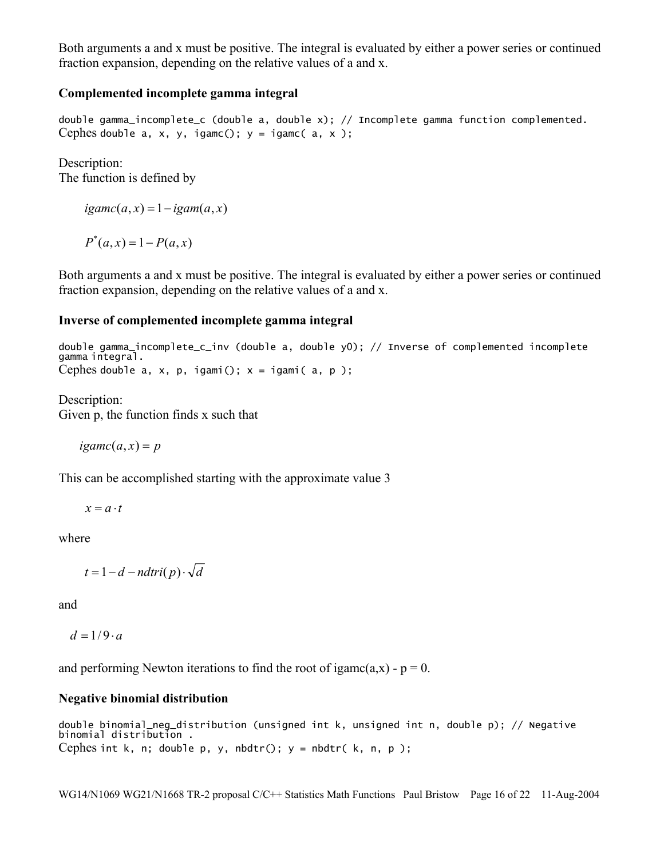Both arguments a and x must be positive. The integral is evaluated by either a power series or continued fraction expansion, depending on the relative values of a and x.

## **Complemented incomplete gamma integral**

double gamma\_incomplete\_c (double a, double x); // Incomplete gamma function complemented. Cephes double a, x, y, igamc();  $y = i$ gamc( a, x);

Description: The function is defined by

 $i\text{game}(a, x) = 1 - i\text{gam}(a, x)$ 

 $P^*(a, x) = 1 - P(a, x)$ 

Both arguments a and x must be positive. The integral is evaluated by either a power series or continued fraction expansion, depending on the relative values of a and x.

#### **Inverse of complemented incomplete gamma integral**

double gamma\_incomplete\_c\_inv (double a, double y0); // Inverse of complemented incomplete gamma integral. Cephes double  $a, x, p, i$ gami();  $x = i$ gami( $a, p$ );

Description: Given p, the function finds x such that

 $i\text{game}(a, x) = p$ 

This can be accomplished starting with the approximate value 3

 $x = a \cdot t$ 

where

$$
t = 1 - d - n \, \text{d}tri(p) \cdot \sqrt{d}
$$

and

 $d = 1/9 \cdot a$ 

and performing Newton iterations to find the root of igamc(a,x) -  $p = 0$ .

#### **Negative binomial distribution**

```
double binomial_neg_distribution (unsigned int k, unsigned int n, double p); // Negative 
binomial distribution . 
Cephes int k, n; double p, y, nbdtr(); y = nbdtr(k, n, p);
```
WG14/N1069 WG21/N1668 TR-2 proposal C/C++ Statistics Math Functions Paul Bristow Page 16 of 22 11-Aug-2004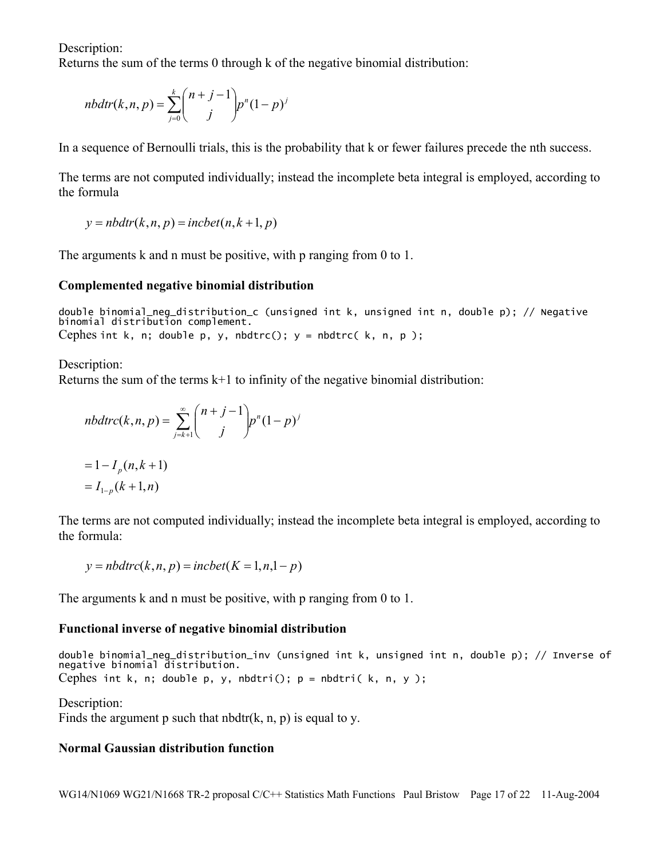Description:

Returns the sum of the terms 0 through k of the negative binomial distribution:

$$
nbdtr(k, n, p) = \sum_{j=0}^{k} {n+j-1 \choose j} p^{n} (1-p)^{j}
$$

In a sequence of Bernoulli trials, this is the probability that k or fewer failures precede the nth success.

The terms are not computed individually; instead the incomplete beta integral is employed, according to the formula

 $y = nbdtr(k, n, p) = incbet(n, k+1, p)$ 

The arguments k and n must be positive, with p ranging from 0 to 1.

#### **Complemented negative binomial distribution**

double binomial\_neg\_distribution\_c (unsigned int k, unsigned int n, double p); // Negative binomial distribution complement. Cephes int k, n; double p, y, nbdtrc();  $y = n$ bdtrc(k, n, p);

Description: Returns the sum of the terms k+1 to infinity of the negative binomial distribution:

$$
nbdtrc(k, n, p) = \sum_{j=k+1}^{\infty} {n+j-1 \choose j} p^{n} (1-p)^{j}
$$
  
= 1 - I<sub>p</sub>(n, k + 1)  
= I<sub>1-p</sub>(k + 1, n)

The terms are not computed individually; instead the incomplete beta integral is employed, according to the formula:

 $y = nbdtrc(k, n, p) = incbet(K = 1, n, 1-p)$ 

The arguments k and n must be positive, with p ranging from 0 to 1.

#### **Functional inverse of negative binomial distribution**

double binomial\_neg\_distribution\_inv (unsigned int k, unsigned int n, double p); // Inverse of negative binomial distribution. Cephes int k, n; double p, y, nbdtri();  $p = n$ bdtri(k, n, y);

Description: Finds the argument p such that nbdtr( $k$ , n, p) is equal to y.

## **Normal Gaussian distribution function**

WG14/N1069 WG21/N1668 TR-2 proposal C/C++ Statistics Math Functions Paul Bristow Page 17 of 22 11-Aug-2004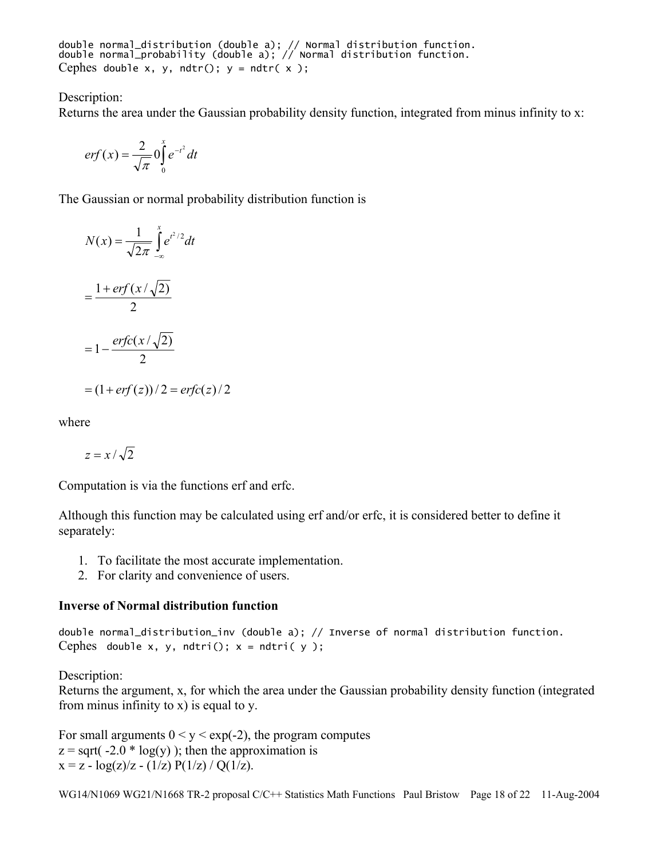double normal\_distribution (double a); // Normal distribution function. double normal\_probability (double a); // Normal distribution function. Cephes double x, y, ndtr();  $y = ndtr(x)$ ;

#### Description:

Returns the area under the Gaussian probability density function, integrated from minus infinity to x:

$$
erf(x) = \frac{2}{\sqrt{\pi}} \int_0^x e^{-t^2} dt
$$

The Gaussian or normal probability distribution function is

$$
N(x) = \frac{1}{\sqrt{2\pi}} \int_{-\infty}^{x} e^{t^2/2} dt
$$
  
=  $\frac{1 + erf(x/\sqrt{2})}{2}$   
=  $1 - \frac{erfc(x/\sqrt{2})}{2}$   
=  $(1 + erf(z))/2 = erfc(z)/2$ 

where

$$
z = x / \sqrt{2}
$$

Computation is via the functions erf and erfc.

Although this function may be calculated using erf and/or erfc, it is considered better to define it separately:

- 1. To facilitate the most accurate implementation.
- 2. For clarity and convenience of users.

#### **Inverse of Normal distribution function**

double normal\_distribution\_inv (double a); // Inverse of normal distribution function. Cephes double x, y, ndtri();  $x = ndtri(y)$ ;

Description:

Returns the argument, x, for which the area under the Gaussian probability density function (integrated from minus infinity to x) is equal to y.

For small arguments  $0 < y < exp(-2)$ , the program computes  $z = sqrt(-2.0 * log(y))$ ; then the approximation is  $x = z - log(z)/z - (1/z) P(1/z) / Q(1/z)$ .

WG14/N1069 WG21/N1668 TR-2 proposal C/C++ Statistics Math Functions Paul Bristow Page 18 of 22 11-Aug-2004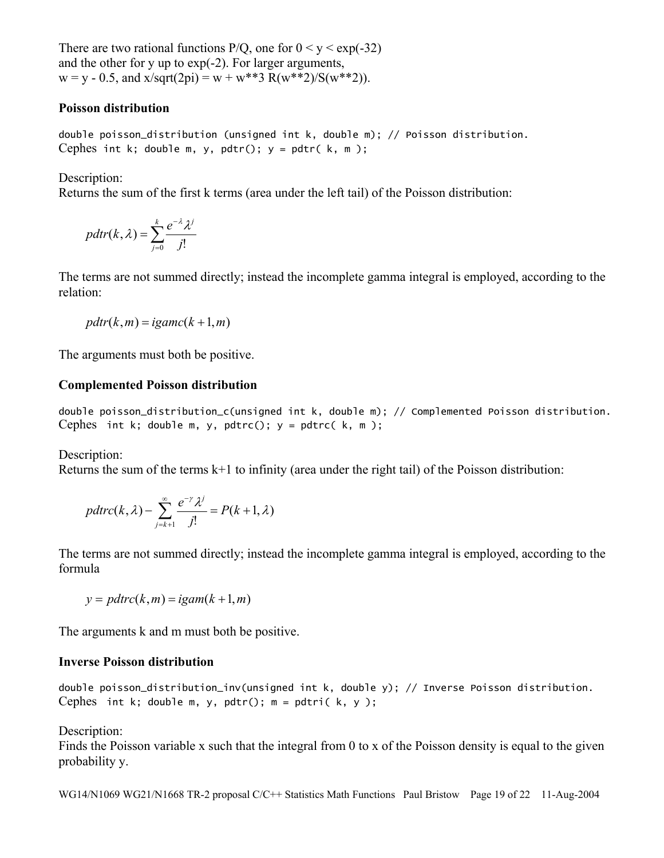There are two rational functions  $P/Q$ , one for  $0 \le y \le exp(-32)$ and the other for y up to exp(-2). For larger arguments,  $w = v - 0.5$ , and  $x/sqrt(2pi) = w + w**3 R(w**2)/S(w**2))$ .

#### **Poisson distribution**

double poisson\_distribution (unsigned int k, double m); // Poisson distribution. Cephes int k; double m, y, pdtr();  $y = pdtr(k, m)$ ;

Description:

Returns the sum of the first k terms (area under the left tail) of the Poisson distribution:

$$
pdir(k, \lambda) = \sum_{j=0}^{k} \frac{e^{-\lambda} \lambda^{j}}{j!}
$$

The terms are not summed directly; instead the incomplete gamma integral is employed, according to the relation:

$$
pdr(k,m) = iganc(k+1,m)
$$

The arguments must both be positive.

#### **Complemented Poisson distribution**

double poisson\_distribution\_c(unsigned int k, double m); // Complemented Poisson distribution. Cephes int k; double m, y, pdtrc();  $y =$  pdtrc( $k, m$ );

Description:

Returns the sum of the terms  $k+1$  to infinity (area under the right tail) of the Poisson distribution:

$$
pdtrc(k, \lambda) - \sum_{j=k+1}^{\infty} \frac{e^{-\gamma} \lambda^j}{j!} = P(k+1, \lambda)
$$

The terms are not summed directly; instead the incomplete gamma integral is employed, according to the formula

$$
y = pdtrc(k, m) = igam(k+1, m)
$$

The arguments k and m must both be positive.

#### **Inverse Poisson distribution**

double poisson\_distribution\_inv(unsigned int k, double y); // Inverse Poisson distribution. Cephes int k; double m, y, pdtr();  $m = pdtri(k, y)$ ;

Description:

Finds the Poisson variable x such that the integral from 0 to x of the Poisson density is equal to the given probability y.

WG14/N1069 WG21/N1668 TR-2 proposal C/C++ Statistics Math Functions Paul Bristow Page 19 of 22 11-Aug-2004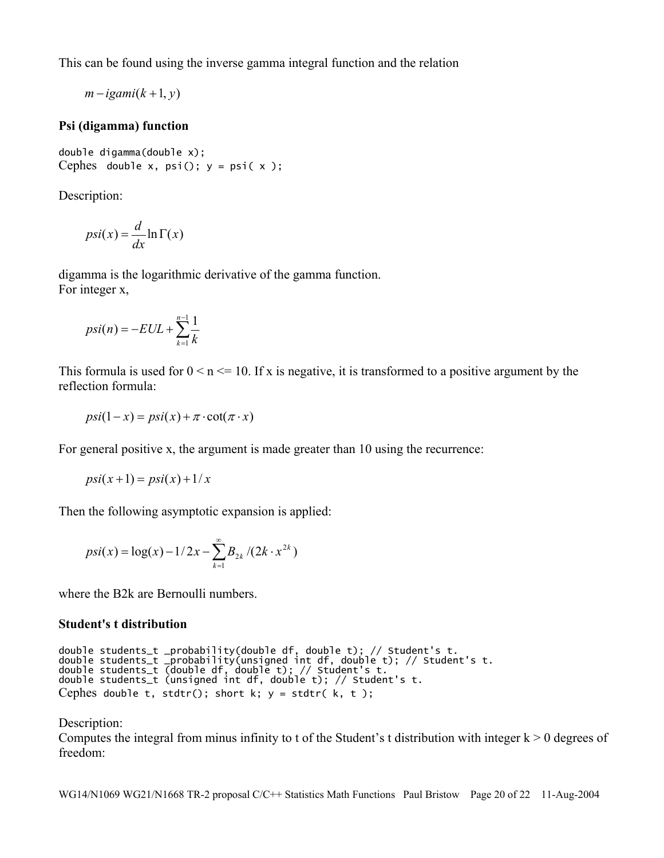This can be found using the inverse gamma integral function and the relation

 $m - i$ *gami*( $k + 1, y$ )

## **Psi (digamma) function**

double digamma(double x); Cephes double x,  $psi$ ();  $y = psi(x)$ ;

Description:

$$
psi(x) = \frac{d}{dx} \ln \Gamma(x)
$$

digamma is the logarithmic derivative of the gamma function. For integer x,

$$
psi(n) = -EUL + \sum_{k=1}^{n-1} \frac{1}{k}
$$

This formula is used for  $0 \le n \le 10$ . If x is negative, it is transformed to a positive argument by the reflection formula:

$$
psi(1-x) = psi(x) + \pi \cdot \cot(\pi \cdot x)
$$

For general positive x, the argument is made greater than 10 using the recurrence:

$$
psi(x+1) = psi(x) + 1/x
$$

Then the following asymptotic expansion is applied:

$$
psi(x) = \log(x) - 1/2x - \sum_{k=1}^{\infty} B_{2k} / (2k \cdot x^{2k})
$$

where the B2k are Bernoulli numbers.

## **Student's t distribution**

```
double students_t _probability(double df, double t); // Student's t. 
double students_t _probability(unsigned int df, double t); // Student's t. 
double students_t (double df, double t); // Student's t. 
double students_t (unsigned int df, double t); // Student's t. 
Cephes double t, stdtr(); short k; y = stdtr(k, t);
```
## Description:

Computes the integral from minus infinity to t of the Student's t distribution with integer  $k > 0$  degrees of freedom:

WG14/N1069 WG21/N1668 TR-2 proposal C/C++ Statistics Math Functions Paul Bristow Page 20 of 22 11-Aug-2004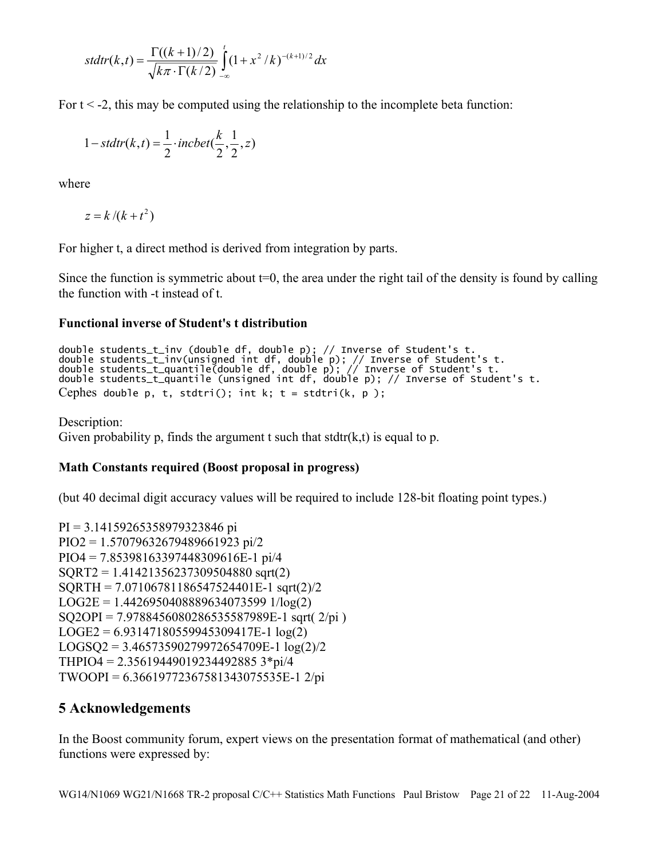$$
sdtr(k,t) = \frac{\Gamma((k+1)/2)}{\sqrt{k\pi} \cdot \Gamma(k/2)} \int_{-\infty}^{t} (1+x^2/k)^{-(k+1)/2} dx
$$

For  $t < -2$ , this may be computed using the relationship to the incomplete beta function:

$$
1 - stdtr(k, t) = \frac{1}{2} \cdot incbet(\frac{k}{2}, \frac{1}{2}, z)
$$

where

 $z = k / (k + t^2)$ 

For higher t, a direct method is derived from integration by parts.

Since the function is symmetric about  $t=0$ , the area under the right tail of the density is found by calling the function with -t instead of t.

## **Functional inverse of Student's t distribution**

```
double students_t_inv (double df, double p); // Inverse of Student's t. 
double students_t_inv(unsigned int df, double p); // Inverse of Student's t. 
double students_t_quantile(double df, double p); // Inverse of Student's t. 
double students_t_quantile (unsigned int df, double p); // Inverse of Student's t. 
Cephes double p, t, stdtri(); int k; t = stdtri(k, p);
```
Description: Given probability p, finds the argument t such that stdtr( $k, t$ ) is equal to p.

## **Math Constants required (Boost proposal in progress)**

(but 40 decimal digit accuracy values will be required to include 128-bit floating point types.)

```
PI = 3.14159265358979323846 pi 
PIO2 = 1.57079632679489661923 pi/2 
PIO4 = 7.85398163397448309616E-1 pi/4 
SQRT2 = 1.41421356237309504880 sqrt(2) 
SQRTH = 7.07106781186547524401E-1 sqrt(2)/2
LOG2E = 1.4426950408889634073599 1/log(2) 
SQ2OPI = 7.9788456080286535587989E-1 sqrt( 2/pi ) 
LOGE2 = 6.93147180559945309417E-1 log(2) 
LOGSQ2 = 3.46573590279972654709E-1 log(2)/2THPIO4 = 2.35619449019234492885 3*pi/4 
TWOOPI = 6.36619772367581343075535E-1 2/pi
```
# **5 Acknowledgements**

In the Boost community forum, expert views on the presentation format of mathematical (and other) functions were expressed by: